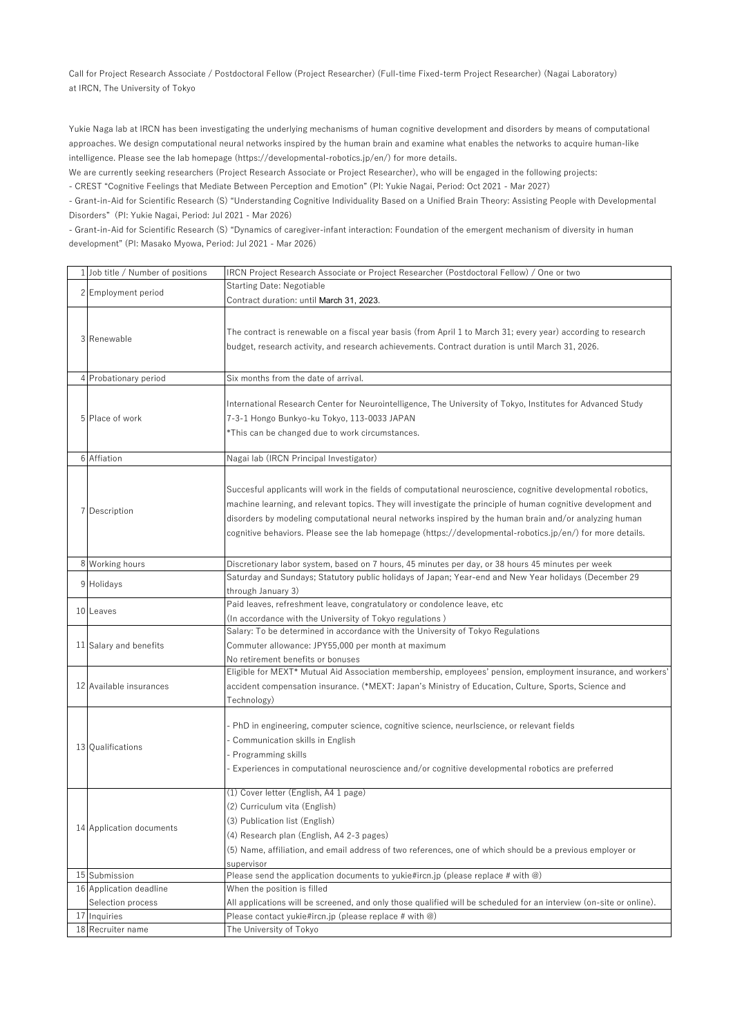Call for Project Research Associate / Postdoctoral Fellow (Project Researcher) (Full-time Fixed-term Project Researcher) (Nagai Laboratory) at IRCN, The University of Tokyo

Yukie Naga lab at IRCN has been investigating the underlying mechanisms of human cognitive development and disorders by means of computational approaches. We design computational neural networks inspired by the human brain and examine what enables the networks to acquire human-like intelligence. Please see the lab homepage (https://developmental-robotics.jp/en/) for more details.

We are currently seeking researchers (Project Research Associate or Project Researcher), who will be engaged in the following projects: - CREST "Cognitive Feelings that Mediate Between Perception and Emotion" (PI: Yukie Nagai, Period: Oct 2021 - Mar 2027)

- Grant-in-Aid for Scientific Research (S) "Understanding Cognitive Individuality Based on a Unified Brain Theory: Assisting People with Developmental Disorders" (PI: Yukie Nagai, Period: Jul 2021 - Mar 2026)

- Grant-in-Aid for Scientific Research (S) "Dynamics of caregiver-infant interaction: Foundation of the emergent mechanism of diversity in human development" (PI: Masako Myowa, Period: Jul 2021 - Mar 2026)

| 1 Job title / Number of positions | IRCN Project Research Associate or Project Researcher (Postdoctoral Fellow) / One or two                                                                                                                                                                                                                                                                                                                                                               |
|-----------------------------------|--------------------------------------------------------------------------------------------------------------------------------------------------------------------------------------------------------------------------------------------------------------------------------------------------------------------------------------------------------------------------------------------------------------------------------------------------------|
|                                   | <b>Starting Date: Negotiable</b>                                                                                                                                                                                                                                                                                                                                                                                                                       |
| 2 Employment period               | Contract duration: until March 31, 2023.                                                                                                                                                                                                                                                                                                                                                                                                               |
| 3 Renewable                       | The contract is renewable on a fiscal year basis (from April 1 to March 31; every year) according to research<br>budget, research activity, and research achievements. Contract duration is until March 31, 2026.                                                                                                                                                                                                                                      |
| 4 Probationary period             | Six months from the date of arrival.                                                                                                                                                                                                                                                                                                                                                                                                                   |
| 5 Place of work                   | International Research Center for Neurointelligence, The University of Tokyo, Institutes for Advanced Study<br>7-3-1 Hongo Bunkyo-ku Tokyo, 113-0033 JAPAN<br>*This can be changed due to work circumstances.                                                                                                                                                                                                                                          |
| 6 Affiation                       | Nagai lab (IRCN Principal Investigator)                                                                                                                                                                                                                                                                                                                                                                                                                |
| 7 Description                     | Succesful applicants will work in the fields of computational neuroscience, cognitive developmental robotics,<br>machine learning, and relevant topics. They will investigate the principle of human cognitive development and<br>disorders by modeling computational neural networks inspired by the human brain and/or analyzing human<br>cognitive behaviors. Please see the lab homepage (https://developmental-robotics.jp/en/) for more details. |
| 8 Working hours                   | Discretionary labor system, based on 7 hours, 45 minutes per day, or 38 hours 45 minutes per week                                                                                                                                                                                                                                                                                                                                                      |
| 9 Holidays                        | Saturday and Sundays; Statutory public holidays of Japan; Year-end and New Year holidays (December 29<br>through January 3)                                                                                                                                                                                                                                                                                                                            |
| 10 Leaves                         | Paid leaves, refreshment leave, congratulatory or condolence leave, etc<br>(In accordance with the University of Tokyo regulations)                                                                                                                                                                                                                                                                                                                    |
| 11 Salary and benefits            | Salary: To be determined in accordance with the University of Tokyo Regulations<br>Commuter allowance: JPY55,000 per month at maximum<br>No retirement benefits or bonuses                                                                                                                                                                                                                                                                             |
| 12 Available insurances           | Eligible for MEXT* Mutual Aid Association membership, employees' pension, employment insurance, and workers'<br>accident compensation insurance. (*MEXT: Japan's Ministry of Education, Culture, Sports, Science and<br>Technology)                                                                                                                                                                                                                    |
| 13 Qualifications                 | - PhD in engineering, computer science, cognitive science, neurlscience, or relevant fields<br>Communication skills in English<br>Programming skills<br>Experiences in computational neuroscience and/or cognitive developmental robotics are preferred                                                                                                                                                                                                |
| 14 Application documents          | (1) Cover letter (English, A4 1 page)<br>(2) Curriculum vita (English)<br>(3) Publication list (English)<br>(4) Research plan (English, A4 2-3 pages)<br>(5) Name, affiliation, and email address of two references, one of which should be a previous employer or<br>supervisor                                                                                                                                                                       |
| 15 Submission                     | Please send the application documents to yukie#ircn.jp (please replace # with @)                                                                                                                                                                                                                                                                                                                                                                       |
| 16 Application deadline           | When the position is filled                                                                                                                                                                                                                                                                                                                                                                                                                            |
| Selection process                 | All applications will be screened, and only those qualified will be scheduled for an interview (on-site or online).                                                                                                                                                                                                                                                                                                                                    |
| 17 Inquiries                      | Please contact yukie#ircn.jp (please replace # with $@$ )                                                                                                                                                                                                                                                                                                                                                                                              |
| 18 Recruiter name                 | The University of Tokyo                                                                                                                                                                                                                                                                                                                                                                                                                                |